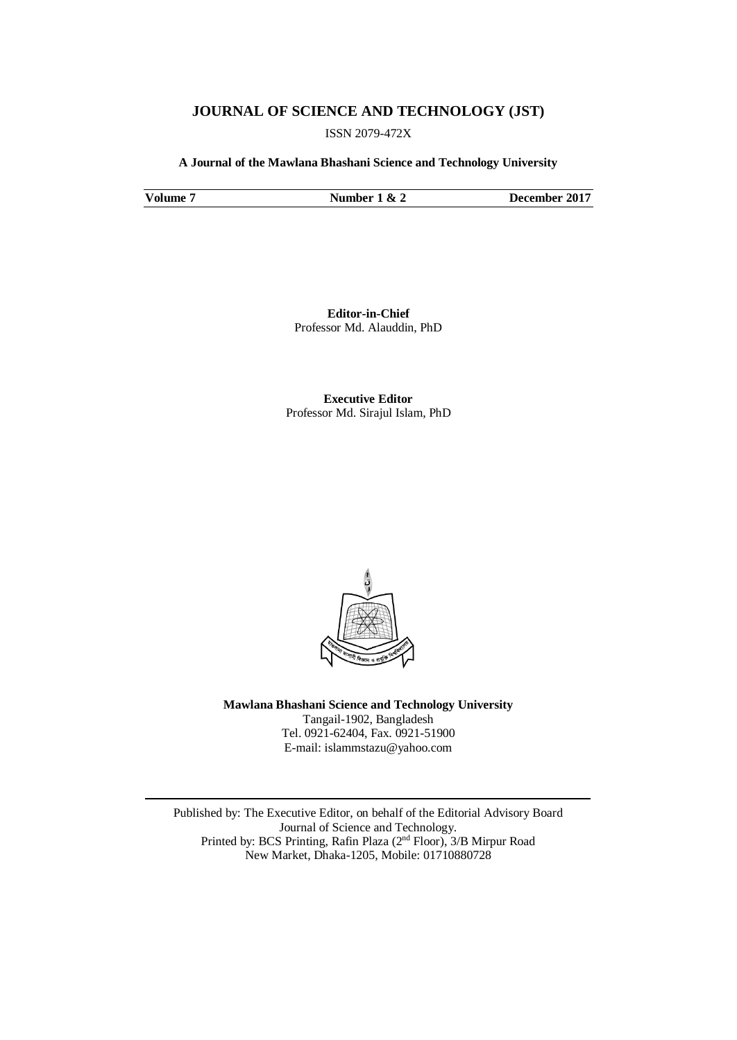# **JOURNAL OF SCIENCE AND TECHNOLOGY (JST)**

ISSN 2079-472X

**A Journal of the Mawlana Bhashani Science and Technology University**

**Volume 7 Number 1 & 2 December 2017**

**Editor-in-Chief** Professor Md. Alauddin, PhD

**Executive Editor** Professor Md. Sirajul Islam, PhD



**Mawlana Bhashani Science and Technology University** Tangail-1902, Bangladesh Tel. 0921-62404, Fax. 0921-51900 E-mail: [islammstazu@yahoo.com](mailto:oshin1996@yahoo.com)

Published by: The Executive Editor, on behalf of the Editorial Advisory Board Journal of Science and Technology. Printed by: BCS Printing, Rafin Plaza (2nd Floor), 3/B Mirpur Road New Market, Dhaka-1205, Mobile: 01710880728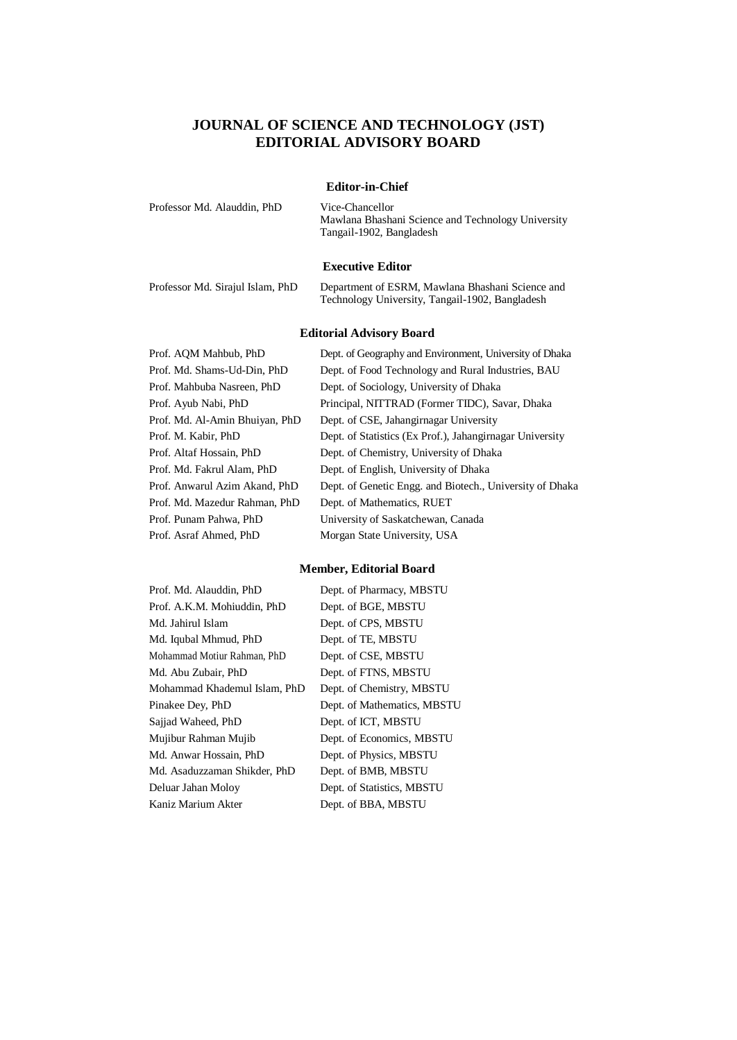# **JOURNAL OF SCIENCE AND TECHNOLOGY (JST) EDITORIAL ADVISORY BOARD**

#### **Editor-in-Chief**

| Professor Md. Alauddin, PhD |  |  |
|-----------------------------|--|--|
|                             |  |  |

Vice-Chancellor Mawlana Bhashani Science and Technology University Tangail-1902, Bangladesh

#### **Executive Editor**

Professor Md. Sirajul Islam, PhD Department of ESRM, Mawlana Bhashani Science and Technology University, Tangail-1902, Bangladesh

### **Editorial Advisory Board**

Prof. Md. Mazedur Rahman, PhD Dept. of Mathematics, RUET Prof. Asraf Ahmed, PhD Morgan State University, USA

Prof. AQM Mahbub, PhD Dept. of Geography and Environment, University of Dhaka Prof. Md. Shams-Ud-Din, PhD Dept. of Food Technology and Rural Industries, BAU Prof. Mahbuba Nasreen, PhD Dept. of Sociology, University of Dhaka Prof. Ayub Nabi, PhD Principal, NITTRAD (Former TIDC), Savar, Dhaka Prof. Md. Al-Amin Bhuiyan, PhD Dept. of CSE, Jahangirnagar University Prof. M. Kabir, PhD Dept. of Statistics (Ex Prof.), Jahangirnagar University Prof. Altaf Hossain, PhD Dept. of Chemistry, University of Dhaka Prof. Md. Fakrul Alam, PhD Dept. of English, University of Dhaka Prof. Anwarul Azim Akand, PhD Dept. of Genetic Engg. and Biotech., University of Dhaka Prof. Punam Pahwa, PhD University of Saskatchewan, Canada

### **Member, Editorial Board**

| Prof. Md. Alauddin, PhD      | Е |
|------------------------------|---|
| Prof. A.K.M. Mohiuddin, PhD  | Ľ |
| Md. Jahirul Islam            | Ľ |
| Md. Iqubal Mhmud, PhD        | Ľ |
| Mohammad Motiur Rahman, PhD  | Ľ |
| Md. Abu Zubair, PhD          | Ľ |
| Mohammad Khademul Islam, PhD | Ľ |
| Pinakee Dey, PhD             | Ľ |
| Sajjad Waheed, PhD           | Ľ |
| Mujibur Rahman Mujib         | D |
| Md. Anwar Hossain, PhD       | Е |
| Md. Asaduzzaman Shikder, PhD | Ľ |
| Deluar Jahan Moloy           | Ľ |
| Kaniz Marium Akter           | Ľ |

Pept. of Pharmacy, MBSTU Pept. of BGE, MBSTU lept. of CPS, MBSTU lept. of TE, MBSTU lept. of CSE, MBSTU lept. of FTNS, MBSTU Dept. of Chemistry, MBSTU Pept. of Mathematics, MBSTU Pept. of ICT, MBSTU lept. of Economics, MBSTU lept. of Physics, MBSTU lept. of BMB, MBSTU Dept. of Statistics, MBSTU lept. of BBA, MBSTU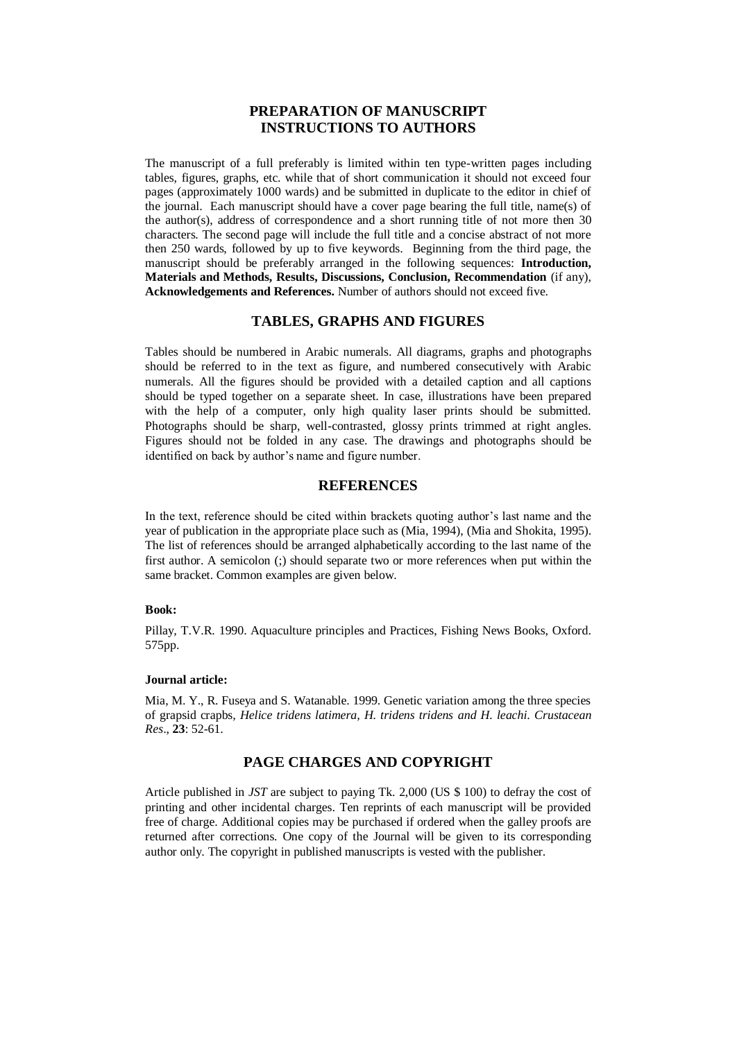# **PREPARATION OF MANUSCRIPT INSTRUCTIONS TO AUTHORS**

The manuscript of a full preferably is limited within ten type-written pages including tables, figures, graphs, etc. while that of short communication it should not exceed four pages (approximately 1000 wards) and be submitted in duplicate to the editor in chief of the journal. Each manuscript should have a cover page bearing the full title, name(s) of the author(s), address of correspondence and a short running title of not more then 30 characters. The second page will include the full title and a concise abstract of not more then 250 wards, followed by up to five keywords. Beginning from the third page, the manuscript should be preferably arranged in the following sequences: **Introduction, Materials and Methods, Results, Discussions, Conclusion, Recommendation** (if any), **Acknowledgements and References.** Number of authors should not exceed five.

## **TABLES, GRAPHS AND FIGURES**

Tables should be numbered in Arabic numerals. All diagrams, graphs and photographs should be referred to in the text as figure, and numbered consecutively with Arabic numerals. All the figures should be provided with a detailed caption and all captions should be typed together on a separate sheet. In case, illustrations have been prepared with the help of a computer, only high quality laser prints should be submitted. Photographs should be sharp, well-contrasted, glossy prints trimmed at right angles. Figures should not be folded in any case. The drawings and photographs should be identified on back by author's name and figure number.

## **REFERENCES**

In the text, reference should be cited within brackets quoting author's last name and the year of publication in the appropriate place such as (Mia, 1994), (Mia and Shokita, 1995). The list of references should be arranged alphabetically according to the last name of the first author. A semicolon (;) should separate two or more references when put within the same bracket. Common examples are given below.

#### **Book:**

Pillay, T.V.R. 1990. Aquaculture principles and Practices, Fishing News Books, Oxford. 575pp.

#### **Journal article:**

Mia, M. Y., R. Fuseya and S. Watanable. 1999. Genetic variation among the three species of grapsid crapbs*, Helice tridens latimera, H. tridens tridens and H. leachi*. *Crustacean Res*., **23**: 52-61.

### **PAGE CHARGES AND COPYRIGHT**

Article published in *JST* are subject to paying Tk. 2,000 (US \$ 100) to defray the cost of printing and other incidental charges. Ten reprints of each manuscript will be provided free of charge. Additional copies may be purchased if ordered when the galley proofs are returned after corrections. One copy of the Journal will be given to its corresponding author only. The copyright in published manuscripts is vested with the publisher.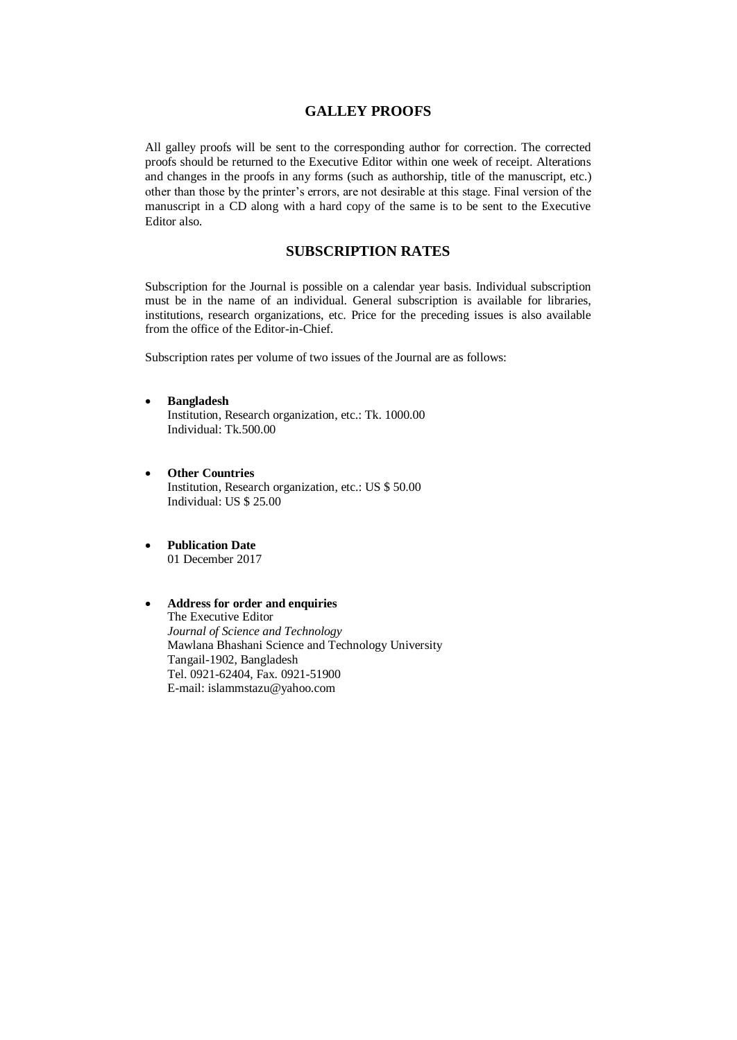## **GALLEY PROOFS**

All galley proofs will be sent to the corresponding author for correction. The corrected proofs should be returned to the Executive Editor within one week of receipt. Alterations and changes in the proofs in any forms (such as authorship, title of the manuscript, etc.) other than those by the printer's errors, are not desirable at this stage. Final version of the manuscript in a CD along with a hard copy of the same is to be sent to the Executive Editor also.

# **SUBSCRIPTION RATES**

Subscription for the Journal is possible on a calendar year basis. Individual subscription must be in the name of an individual. General subscription is available for libraries, institutions, research organizations, etc. Price for the preceding issues is also available from the office of the Editor-in-Chief.

Subscription rates per volume of two issues of the Journal are as follows:

- **Bangladesh** Institution, Research organization, etc.: Tk. 1000.00 Individual: Tk.500.00
- **Other Countries** Institution, Research organization, etc.: US \$ 50.00 Individual: US \$ 25.00
- **Publication Date** 01 December 2017

### **Address for order and enquiries** The Executive Editor *Journal of Science and Technology* Mawlana Bhashani Science and Technology University Tangail-1902, Bangladesh Tel. 0921-62404, Fax. 0921-51900 E-mail: [islammstazu@yahoo.com](mailto:oshin1996@yahoo.com)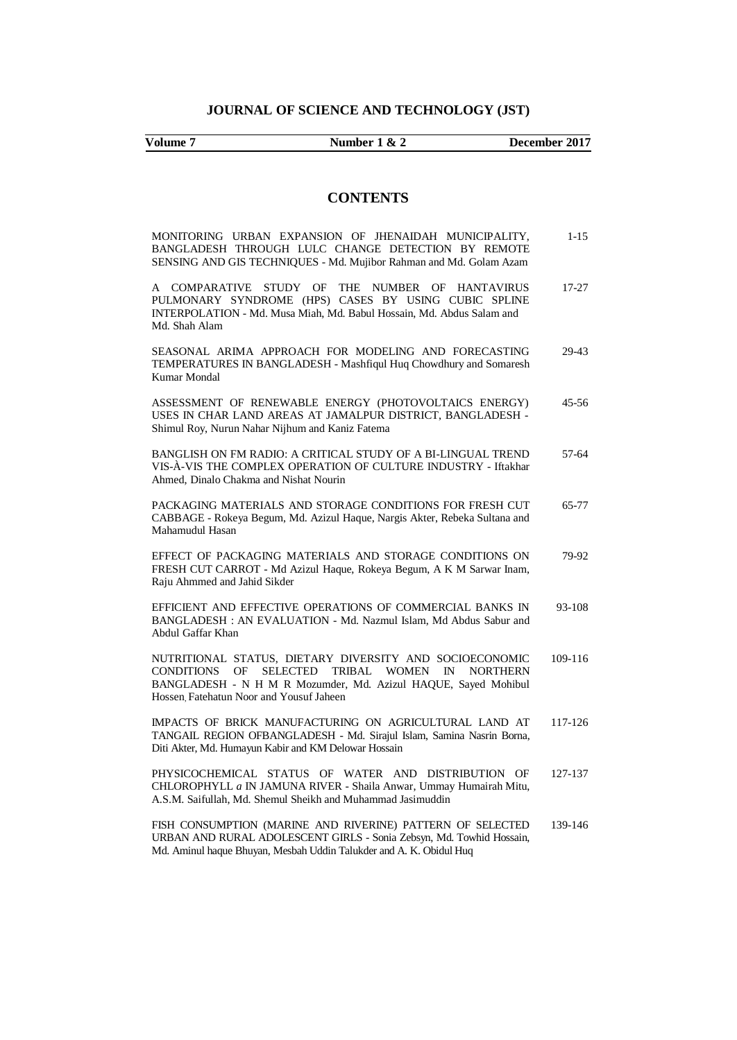**Volume 7 Number 1 & 2 December 2017**

# **CONTENTS**

| MONITORING URBAN EXPANSION OF JHENAIDAH MUNICIPALITY,<br>BANGLADESH THROUGH LULC CHANGE DETECTION BY REMOTE<br>SENSING AND GIS TECHNIQUES - Md. Mujibor Rahman and Md. Golam Azam                                                                                                      | $1 - 1.5$ |
|----------------------------------------------------------------------------------------------------------------------------------------------------------------------------------------------------------------------------------------------------------------------------------------|-----------|
| STUDY OF<br><b>COMPARATIVE</b><br>THE NUMBER OF HANTAVIRUS<br>A<br>PULMONARY SYNDROME (HPS) CASES BY USING CUBIC SPLINE<br>INTERPOLATION - Md. Musa Miah, Md. Babul Hossain, Md. Abdus Salam and<br>Md. Shah Alam                                                                      | $17 - 27$ |
| SEASONAL ARIMA APPROACH FOR MODELING AND FORECASTING<br>TEMPERATURES IN BANGLADESH - Mashfiqul Huq Chowdhury and Somaresh<br><b>Kumar Mondal</b>                                                                                                                                       | 29-43     |
| ASSESSMENT OF RENEWABLE ENERGY (PHOTOVOLTAICS ENERGY)<br>USES IN CHAR LAND AREAS AT JAMALPUR DISTRICT, BANGLADESH -<br>Shimul Roy, Nurun Nahar Nijhum and Kaniz Fatema                                                                                                                 | $45 - 56$ |
| BANGLISH ON FM RADIO: A CRITICAL STUDY OF A BI-LINGUAL TREND<br>VIS-À-VIS THE COMPLEX OPERATION OF CULTURE INDUSTRY - Iftakhar<br>Ahmed, Dinalo Chakma and Nishat Nourin                                                                                                               | 57-64     |
| PACKAGING MATERIALS AND STORAGE CONDITIONS FOR FRESH CUT<br>CABBAGE - Rokeya Begum, Md. Azizul Haque, Nargis Akter, Rebeka Sultana and<br>Mahamudul Hasan                                                                                                                              | $65 - 77$ |
| EFFECT OF PACKAGING MATERIALS AND STORAGE CONDITIONS ON<br>FRESH CUT CARROT - Md Azizul Haque, Rokeya Begum, A K M Sarwar Inam,<br>Raju Ahmmed and Jahid Sikder                                                                                                                        | 79-92     |
| EFFICIENT AND EFFECTIVE OPERATIONS OF COMMERCIAL BANKS IN<br>BANGLADESH: AN EVALUATION - Md. Nazmul Islam, Md Abdus Sabur and<br>Abdul Gaffar Khan                                                                                                                                     | 93-108    |
| NUTRITIONAL STATUS, DIETARY DIVERSITY AND SOCIOECONOMIC<br><b>SELECTED</b><br><b>CONDITIONS</b><br><b>TRIBAL</b><br><b>WOMEN</b><br>OF<br>$\mathbb{N}$<br><b>NORTHERN</b><br>BANGLADESH - N H M R Mozumder, Md. Azizul HAQUE, Sayed Mohibul<br>Hossen Fatehatun Noor and Yousuf Jaheen | 109-116   |
| IMPACTS OF BRICK MANUFACTURING ON AGRICULTURAL LAND AT<br>TANGAIL REGION OFBANGLADESH - Md. Sirajul Islam, Samina Nasrin Borna,<br>Diti Akter, Md. Humayun Kabir and KM Delowar Hossain                                                                                                | 117-126   |
| PHYSICOCHEMICAL STATUS OF WATER AND DISTRIBUTION OF<br>CHLOROPHYLL a IN JAMUNA RIVER - Shaila Anwar, Ummay Humairah Mitu,<br>A.S.M. Saifullah, Md. Shemul Sheikh and Muhammad Jasimuddin                                                                                               | 127-137   |
| FISH CONSUMPTION (MARINE AND RIVERINE) PATTERN OF SELECTED<br>URBAN AND RURAL ADOLESCENT GIRLS - Sonia Zebsyn, Md. Towhid Hossain,<br>Md. Aminul haque Bhuyan, Mesbah Uddin Talukder and A. K. Obidul Huq                                                                              | 139-146   |